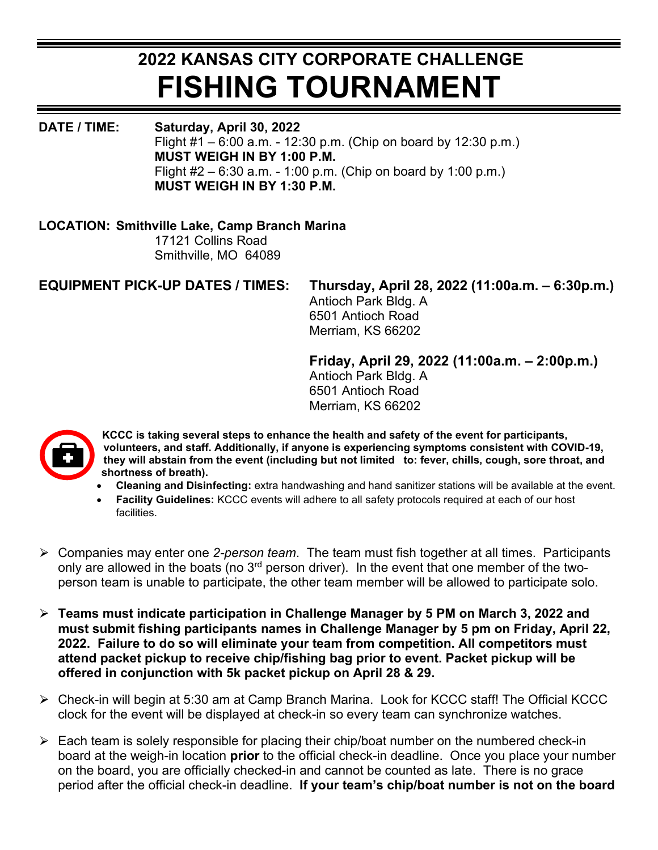## **2022 KANSAS CITY CORPORATE CHALLENGE FISHING TOURNAMENT**

**DATE / TIME: Saturday, April 30, 2022**  Flight #1 – 6:00 a.m. - 12:30 p.m. (Chip on board by 12:30 p.m.) **MUST WEIGH IN BY 1:00 P.M.** Flight  $#2 - 6:30$  a.m. - 1:00 p.m. (Chip on board by 1:00 p.m.) **MUST WEIGH IN BY 1:30 P.M.**

## **LOCATION: Smithville Lake, Camp Branch Marina**

 17121 Collins Road Smithville, MO 64089

## **EQUIPMENT PICK-UP DATES / TIMES: Thursday, April 28, 2022 (11:00a.m. – 6:30p.m.)**

Antioch Park Bldg. A 6501 Antioch Road Merriam, KS 66202

**Friday, April 29, 2022 (11:00a.m. – 2:00p.m.)** 

Antioch Park Bldg. A 6501 Antioch Road Merriam, KS 66202



**KCCC is taking several steps to enhance the health and safety of the event for participants, volunteers, and staff. Additionally, if anyone is experiencing symptoms consistent with COVID-19, they will abstain from the event (including but not limited to: fever, chills, cough, sore throat, and shortness of breath).**

- **Cleaning and Disinfecting:** extra handwashing and hand sanitizer stations will be available at the event.
- **Facility Guidelines:** KCCC events will adhere to all safety protocols required at each of our host facilities.
- ⮚ Companies may enter one *2-person team*. The team must fish together at all times. Participants only are allowed in the boats (no  $3<sup>rd</sup>$  person driver). In the event that one member of the twoperson team is unable to participate, the other team member will be allowed to participate solo.
- ⮚ **Teams must indicate participation in Challenge Manager by 5 PM on March 3, 2022 and must submit fishing participants names in Challenge Manager by 5 pm on Friday, April 22, 2022. Failure to do so will eliminate your team from competition. All competitors must attend packet pickup to receive chip/fishing bag prior to event. Packet pickup will be offered in conjunction with 5k packet pickup on April 28 & 29.**
- ⮚ Check-in will begin at 5:30 am at Camp Branch Marina. Look for KCCC staff! The Official KCCC clock for the event will be displayed at check-in so every team can synchronize watches.
- $\triangleright$  Each team is solely responsible for placing their chip/boat number on the numbered check-in board at the weigh-in location **prior** to the official check-in deadline. Once you place your number on the board, you are officially checked-in and cannot be counted as late. There is no grace period after the official check-in deadline. **If your team's chip/boat number is not on the board**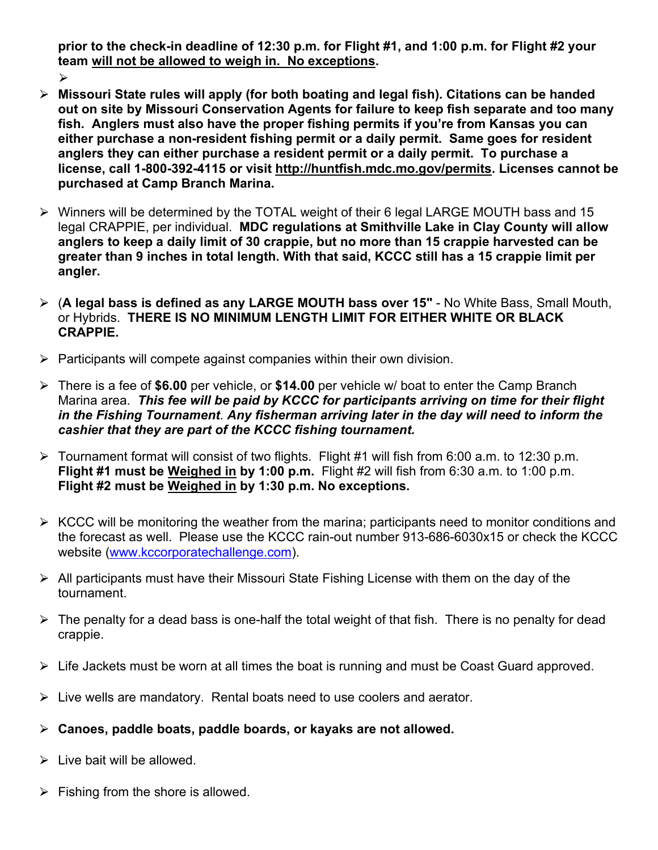**prior to the check-in deadline of 12:30 p.m. for Flight #1, and 1:00 p.m. for Flight #2 your team will not be allowed to weigh in. No exceptions.**

 $\blacktriangleright$ 

- ⮚ **Missouri State rules will apply (for both boating and legal fish). Citations can be handed out on site by Missouri Conservation Agents for failure to keep fish separate and too many fish. Anglers must also have the proper fishing permits if you're from Kansas you can either purchase a non-resident fishing permit or a daily permit. Same goes for resident anglers they can either purchase a resident permit or a daily permit. To purchase a license, call 1-800-392-4115 or visit [http://huntfish.mdc.mo.gov/permits.](http://huntfish.mdc.mo.gov/permits) Licenses cannot be purchased at Camp Branch Marina.**
- ⮚ Winners will be determined by the TOTAL weight of their 6 legal LARGE MOUTH bass and 15 legal CRAPPIE, per individual. **MDC regulations at Smithville Lake in Clay County will allow anglers to keep a daily limit of 30 crappie, but no more than 15 crappie harvested can be greater than 9 inches in total length. With that said, KCCC still has a 15 crappie limit per angler.**
- ⮚ (**A legal bass is defined as any LARGE MOUTH bass over 15"** No White Bass, Small Mouth, or Hybrids. **THERE IS NO MINIMUM LENGTH LIMIT FOR EITHER WHITE OR BLACK CRAPPIE.**
- $\triangleright$  Participants will compete against companies within their own division.
- ⮚ There is a fee of **\$6.00** per vehicle, or **\$14.00** per vehicle w/ boat to enter the Camp Branch Marina area. *This fee will be paid by KCCC for participants arriving on time for their flight in the Fishing Tournament*. *Any fisherman arriving later in the day will need to inform the cashier that they are part of the KCCC fishing tournament.*
- $\triangleright$  Tournament format will consist of two flights. Flight #1 will fish from 6:00 a.m. to 12:30 p.m. **Flight #1 must be Weighed in by 1:00 p.m.** Flight #2 will fish from 6:30 a.m. to 1:00 p.m. **Flight #2 must be Weighed in by 1:30 p.m. No exceptions.**
- $\triangleright$  KCCC will be monitoring the weather from the marina; participants need to monitor conditions and the forecast as well. Please use the KCCC rain-out number 913-686-6030x15 or check the KCCC website [\(www.kccorporatechallenge.com\)](http://www.kccorporatechallenge.com/).
- $\triangleright$  All participants must have their Missouri State Fishing License with them on the day of the tournament.
- $\triangleright$  The penalty for a dead bass is one-half the total weight of that fish. There is no penalty for dead crappie.
- $\triangleright$  Life Jackets must be worn at all times the boat is running and must be Coast Guard approved.
- $\triangleright$  Live wells are mandatory. Rental boats need to use coolers and aerator.
- ⮚ **Canoes, paddle boats, paddle boards, or kayaks are not allowed.**
- $\triangleright$  Live bait will be allowed.
- $\triangleright$  Fishing from the shore is allowed.